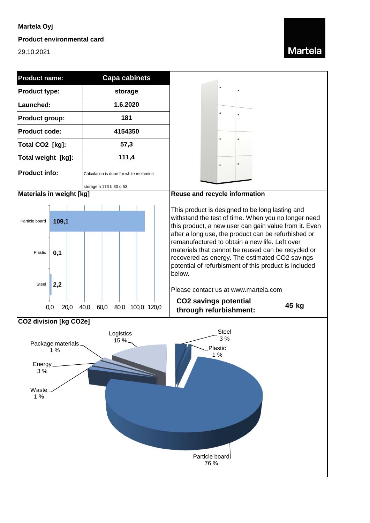#### **Martela Oyj**

## **Product environmental card**

29.10.2021

Martela